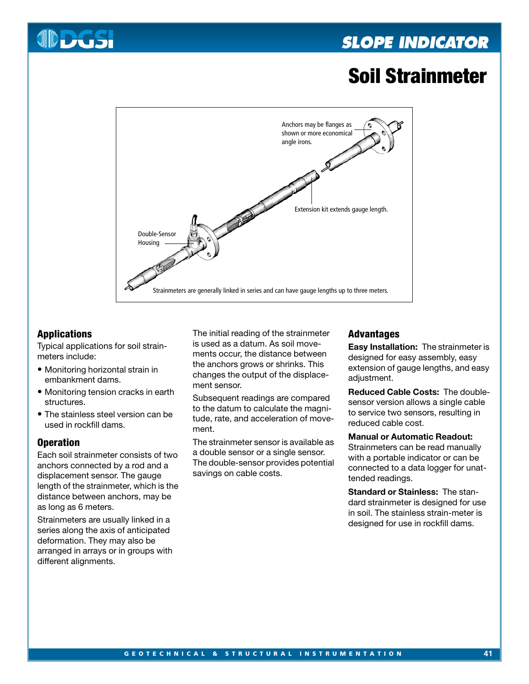# **SLOPE INDICATOR**

# **Soil Strainmeter**



# **Applications**

Typical applications for soil strainmeters include:

- Monitoring horizontal strain in embankment dams.
- Monitoring tension cracks in earth structures.
- The stainless steel version can be used in rockfill dams.

#### **Operation**

Each soil strainmeter consists of two anchors connected by a rod and a displacement sensor. The gauge length of the strainmeter, which is the distance between anchors, may be as long as 6 meters.

Strainmeters are usually linked in a series along the axis of anticipated deformation. They may also be arranged in arrays or in groups with different alignments.

The initial reading of the strainmeter is used as a datum. As soil movements occur, the distance between the anchors grows or shrinks. This changes the output of the displacement sensor.

Subsequent readings are compared to the datum to calculate the magnitude, rate, and acceleration of movement.

The strainmeter sensor is available as a double sensor or a single sensor. The double-sensor provides potential savings on cable costs.

#### **Advantages**

**Easy Installation:** The strainmeter is designed for easy assembly, easy extension of gauge lengths, and easy adjustment.

**Reduced Cable Costs:** The doublesensor version allows a single cable to service two sensors, resulting in reduced cable cost.

#### **Manual or Automatic Readout:**

Strainmeters can be read manually with a portable indicator or can be connected to a data logger for unattended readings.

**Standard or Stainless:** The standard strainmeter is designed for use in soil. The stainless strain-meter is designed for use in rockfill dams.